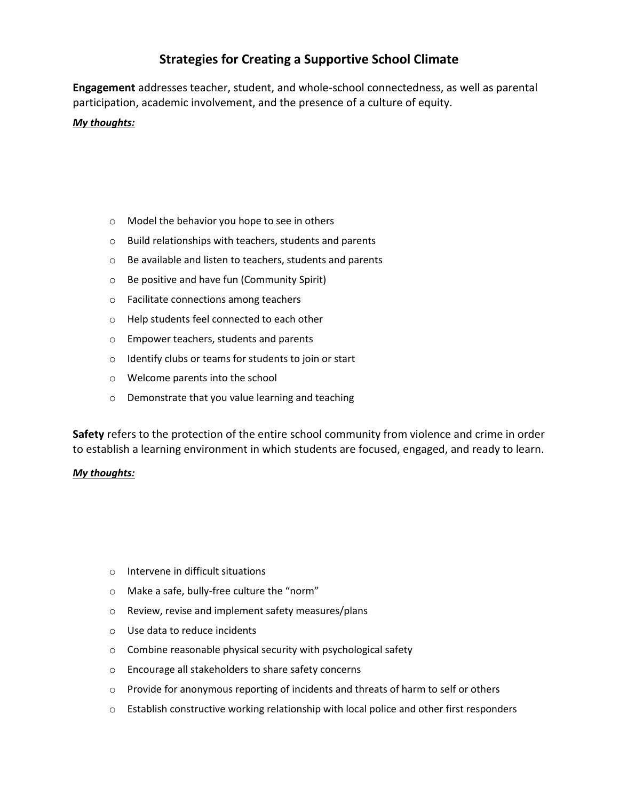## **Strategies for Creating a Supportive School Climate**

**Engagement** addresses teacher, student, and whole-school connectedness, as well as parental participation, academic involvement, and the presence of a culture of equity.

## *My thoughts:*

- o Model the behavior you hope to see in others
- o Build relationships with teachers, students and parents
- o Be available and listen to teachers, students and parents
- o Be positive and have fun (Community Spirit)
- o Facilitate connections among teachers
- o Help students feel connected to each other
- o Empower teachers, students and parents
- o Identify clubs or teams for students to join or start
- o Welcome parents into the school
- o Demonstrate that you value learning and teaching

**Safety** refers to the protection of the entire school community from violence and crime in order to establish a learning environment in which students are focused, engaged, and ready to learn.

## *My thoughts:*

- o Intervene in difficult situations
- o Make a safe, bully-free culture the "norm"
- o Review, revise and implement safety measures/plans
- o Use data to reduce incidents
- o Combine reasonable physical security with psychological safety
- o Encourage all stakeholders to share safety concerns
- $\circ$  Provide for anonymous reporting of incidents and threats of harm to self or others
- $\circ$  Establish constructive working relationship with local police and other first responders